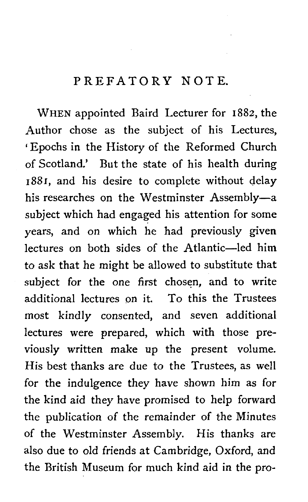## PREFATORY NOTE.

WHEN appointed Baird Lecturer for 1882, the Author chose as the subject of his Lectures, Epochs in the History of the Reformed Church of Scotland.' But the state of his health during 1881, and his desire to complete without delay his researches on the Westminster Assembly-a subject which had engaged his attention for some years, and on which he had previously given lectures on both sides of the Atlantic-led him to ask that he might be allowed to substitute that subject for the one first chosen, and to write additional lectures on it. To this the Trustees most kindly consented, and seven additional lectures were prepared, which with those previously written make up the present volume. His best thanks are due to the Trustees, as well for the indulgence they have shown him as for the kind aid they have promised to help forward the publication of the remainder of the Minutes of the Westminster Assembly. His thanks are also due to old friends at Cambridge, Oxford, and the British Museum for much kind aid in the pro-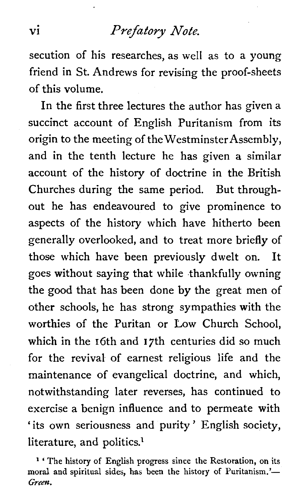# vi *Prefatory Note.*

secution of his researches, as well as to a young friend in St. Andrews for revising the proof-sheets of this volume.

In the first three lectures the author has given a succinct account of English Puritanism from its origin to the meeting of the WestminsterAssembly, and in the tenth lecture he has given a similar account of the history of doctrine in the British Churches during the same period. But throughout he has endeavoured to give prominence to aspects of the history which have hitherto been generally overlooked, and to treat more briefly of those which have been previously dwelt on. It goes without saying that while thankfully owning the good that has been done by the great men of other schools, he has strong sympathies with the worthies of the Puritan or Low Church School, which in the 16th and 17th centuries did so much for the revival of earnest religious life and the maintenance of evangelical doctrine, and which, notwithstanding later reverses, has continued to exercise a benign influence and to permeate with 'its own seriousness and purity' English society, literature, and politics.<sup>1</sup>

**<sup>l</sup>**' **The history of English progress since the Restoration, on its**  moral and spiritual sides, has been the history of Puritanism.'-*Green.*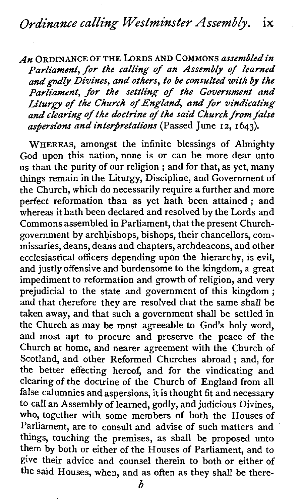An ORDINANCE OF THE LORDS AND COMMONS assembled in Parliament, for the calling of an Assembly of learned and godly Divines, and others, to be consulted with by the Parliament, for the settling of the Government and Liturgy of the Church of England, and for vindicating and clearing of the doctrine of *the* said Church from false aspersions and interpretations (Passed June 12, 1643).

WHEREAS, amongst the infinite blessings of Almighty God upon this nation, none is or can be more dear unto us than the purity of our religion ; and for that, as yet, many things remain in the Liturgy, Discipline, and Government of the Church, which do necessarily require a further and more perfect reformation than as yet hath been attained ; and whereas it hath been declared and resolved by the Lords and Commons assembled in Parliament, that the present Churchgovernment by archbishops, bishops, their chancellors, commissaries, deans, deans and chapters, archdeacons, and other ecclesiastical officers depending upon the hierarchy, is evil, and justly offensive and burdensome to the kingdom, a great impediment to reformation and growth of religion, and very prejudicial to the state and government of this kingdom; and that therefore they are resolved that the same shall be taken away, and that such a government shall be settled in the Church as may be most agreeable to God's holy word, and most apt to procure and preserve the peace of the Church at home, and nearer agreement with the Church of Scotland, and other Reformed Churches abroad ; and, for the better effecting hereof, and for the vindicating and clearing of the doctrine of the Church of England from all false calumnies and aspersions, it is thought fit and necessary to call an Assembly of learned, godly, and judicious Divines, who, together with some members of both the Houses of Parliament, are to consult and advise of such matters and things, touching the premises, as shall be proposed unto them by both or either of the Houses of Parliament, and to give their advice and counsel therein to both or either of the said Houses, when, and as often as they shall be there-

*b*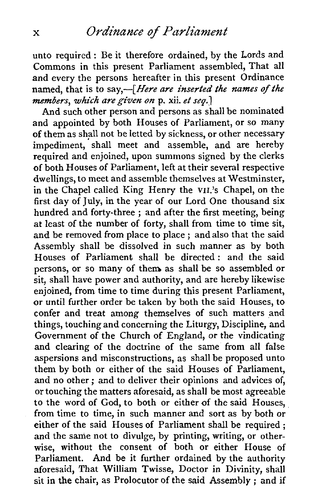unto required : Be it therefore ordained, by the Lords and Commons in this present Parliament assembled, That all and every the persons hereafter in this present Ordinance named, that is to say, -[Here are inserted the names of the members, *which* aregiven *on* p. xii. et **seg-1** 

And such other person and persons as shall be nominated and appointed by both Houses of Parliament, or so many of them as shall not be letted by sickness, or other necessary impediment, shall meet and assemble, and are hereby required and enjoined, upon summons signed by the clerks of both Houses of Parliament, left at their several respective dwellings, to meet and assemble themselves at Westminster, in the Chapel called King Henry the VII.'S Chapel, on the first day of July, in the year of our Lord One thousand six hundred and forty-three ; and after the first meeting, being at least of the number of forty, shall from time to time sit, and be removed from place to place ; and also that the said Assembly shall be dissolved in such manner as by both Houses of Parliament shall be directed : and the said persons, or so many of them as shall be so assembled or sit, shall have power and authority, and are hereby likewise enjoined, from time to time during this present Parliament, or until further order be taken by both the said Houses, to confer and treat among themselves of such matters and things, touching and concerning the Liturgy, Discipline, and Government of the Church of England, or the vindicating and clearing of the doctrine of the same from all false aspersions and misconstructions, as shall be proposed unto them by both or either of the said Houses of Parliament, and no other ; and to deliver their opinions and advices of, or touching the matters aforesaid, as shall be most agreeable to the word of God, to both or either of the said Houses, from time to time, in such manner and sort as by both or either of the said Houses of Parliament shall be required ; and the same not to divulge, by printing, writing, or otherwise, without the consent of both or either House of Parliament. And be it further ordained by the authority aforesaid, That William Twisse, Doctor in Divinity, shall sit in **the** chair, as Prolocutor of the said Assembly ; and if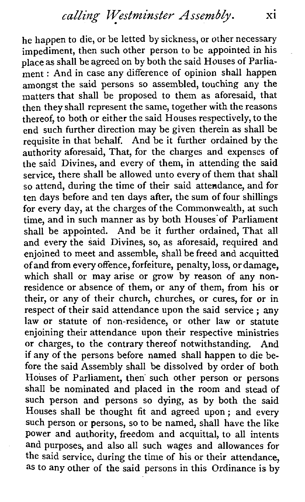he happen to die, or be letted by sickness, or other necessary impediment, then such other person to be appointed in his place as shall be agreed on by both the said Houses of Parliament : And in case any difference of opinion shall happen amongst the said persons so assembled, touching any the matters that shall be proposed to them as aforesaid, that then they shall represent the same, together with the reasons thereof, to both or either the said Houses respectively, to the end such further direction may be given therein as shall be requisite in that behalf. And be it further ordained by the authority aforesaid, That, for the charges and expenses of the said Divines, and every of them, in attending the said service, there shall be allowed unto every of them that shall so attend, during the time of their said attendance, and for ten days before and ten days after, the sum of four shillings for every day, at the charges of the Commonwealth, at such time, and in such manner as by both Houses'of Parliament shall be appointed. And be it further ordained, That all and every the said Divines, so, as aforesaid, required and enjoined to meet and assemble, shall be freed and acquitted of and from every offence, forfeiture, penalty, loss, or damage, which shall or may arise or grow by reason of any nonresidence or absence of them, or any of them, from his or their, or any of their church, churches, or cures, for or in respect of their said attendance upon the said service ; any law or statute of non-residence, or other law or statute enjoining their attendance upon their respective ministries or charges, to the contrary thereof notwithstanding. And if any of the persons before named shall happen to die before the said Assembly shall be dissolved by order of both Houses of Parliament, then' such other person or persons shall be nominated and placed in the room and stead of such person and persons so dying, as by both the said Houses shall be thought **fit** and agreed upon ; and every such person or persons, so to be named, shall have the like power and authority, freedom and acquittal, to all intents and purposes, and also all such wages and allowances for the said service, during the time of his or their attendance, as to any other of the said persons in this Ordinance is by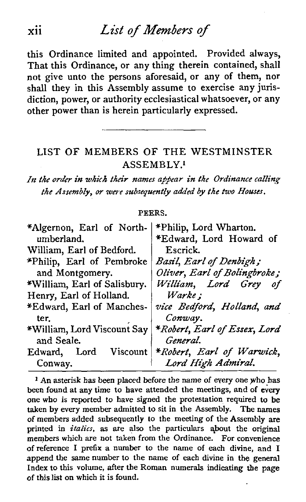# **xii** List **of** *Members* **of**

this Ordinance limited and appointed. Provided always, That this Ordinance, or any thing therein contained, shall not give unto the persons aforesaid, or any of them, nor shall they in this Assembly assume to exercise any jurisdiction, power, or authority ecclesiastical whatsoever, or any other power than is herein particularly expressed.

### LIST OF MEMBERS OF THE WESTMINSTER ASSEMBLY.'

**In** *the oriler in which* **their** *names appear in the Ordinance calling the Assembly, or were subsequently added by the two Houses.* 

### **PEERS.**

| *Algernon, Earl of North-    | *Philip, Lord Wharton.       |
|------------------------------|------------------------------|
| umberland.                   | *Edward, Lord Howard of      |
| William, Earl of Bedford.    | Escrick.                     |
| *Philip, Earl of Pembroke    | Basil, Earl of Denbigh;      |
| and Montgomery.              | Oliver, Earl of Bolingbroke; |
| *William, Earl of Salisbury. | William, Lord Grey           |
| Henry, Earl of Holland.      | Warke:                       |
| *Edward, Earl of Manches-    | vice Bedford, Holland, and   |
| ter.                         | Conway.                      |
| *William, Lord Viscount Say  | *Robert, Earl of Essex, Lord |
| and Seale.                   | General.                     |
| Edward.<br>Viscount<br>Lord  | *Robert, Earl of Warwick,    |
| Conway.                      | Lord High Admiral.           |

<sup>1</sup> An asterisk has been placed before the name of every one who has been found at any time to have attended the meetings, and of every one who is reported to have signed the protestation required to be taken by every member admitted to sit in the Assembly. The names of members added subsequently to the meeting of the Assembly are printed in *italics,* as are also the particulars about the original members which are not taken from the Ordinance. For convenience of reference 1 prefix a number to the name of each divine, and 1 append the same number to the name of each divine in the general Index to this volume, after the Roman numerals indicating the page of this list on which it is found.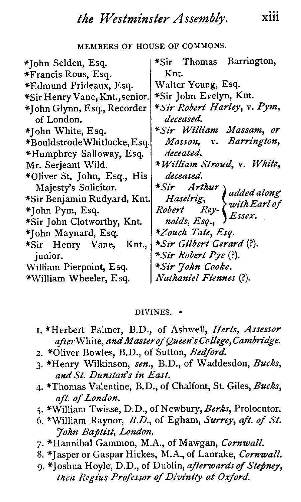### **MEMBERS OF HOUSE OF COMMONS.**

| *Sir Thomas Barrington,       |
|-------------------------------|
| Knt.                          |
| Walter Young, Esq.            |
| *Sir John Evelyn, Knt.        |
| *Sir Robert Harley, v. Pym,   |
| deceased.                     |
| *Sir William Massam, or       |
| Masson, v. Barrington,        |
| deceased.                     |
| * William Stroud, v. White,   |
| deceased.                     |
| *Sir Arthur<br>added along    |
| Haselrig,<br>with Earl of     |
| Robert Rey-<br>Essex.         |
| nolds, Esq.,                  |
| *Zouch Tate, Esq.             |
| *Sir Gilbert Gerard (?).      |
| <i>*Sir Robert Pye</i> (?).   |
| *Sir John Cooke.              |
| <i>Nathaniel Fiennes</i> (?). |
|                               |

#### **DIVINES.**

- **I.** *\*Herbert Palmer, B.D., of Ashwell, Herts, Assessor*   $a$ *fter* White, and Master of Queen's College, Cambridge.
- *2. \*01iver Bowles, B.D., of Sutton, Bedford.*
- **3.** *\*Henry Wilkinson, sen., B.D., of Waddesdon, Bucks,*  **andSt.** *Dunstun's in East.*
- *4. \*Thonlas Valentine, B.D., of Chalfont, St. Giles, Bucks, aft. of London.*
- **j.** *\*Willian~ Twisse, D.D., of Newbury, Berks, Prolocutor.*
- *6. \*William Raynor, B.D., of Egham, Surrey, aft. of* **St.**  *John Baptist, London.*
- **7.** *\*Hannibal Gammon, M.A., of Mawgan, Cornwall.*
- 8. *\*Jasper or Gaspar Hickes, M.A., of Lanrake, Cornwall.*
- *g. \*Joshua Hoyle, D.D., of Dublin, afterwardsof Stepney,*  then *mius Professor of Divinity at* **Oxford.**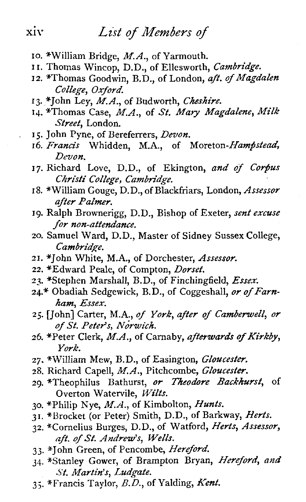- *10. \*William Bridge, M.A., of Yarmouth.*
- **I** *I. Thomas Wincop, D.D., of Ellesworth, Cambridge.*
- 12. \*Thomas Goodwin, B.D., of London, aft. of Magdalen *College, Oxford.*
- *13. \*John Ley, M.A., of Budworth, Cheshire.*
- *14. \*Thomas Case, M.A., of St.* Mary *Magdalene, Milk Street, London.*
- **15.** *John Pyne, of Bereferrers, Devon.*
- *16. Francis Whidden, M.A., of Moreton-Hampstead, Devon.*
- **17.** *Richard Love, D.D., of Ekington, and of Corpus Christ/ College, Cambridge.*
- **18.** *\*William Gouge, D.D., of Blackfriars, London, Assessor after Palmer.*
- *19. Ralph Brownerigg, D.D., Bishop of Exeter, sent excuse for non-attendance.*
- *20. Samuel Ward, D.D., Master of Sidney Sussex College, Cambridpe.*
- *21. \*John White, M.A., of Dorchester, Assessor.*
- 22. \*Edward Peale, of Compton, *Dorset*,
- *23. \*Stephen Marshall, B.D., of Finchingfield, Essex.*
- 24.\* Obadiah Sedgewick, B.D., of Coggeshall, or of Farn*ham, Essex.*
- *25. [John] Carter, M.A., of York, after of Camiemell, or ofSt. Peter's,* **Norwich.**
- *26. \*Peter Clerk, M.A., of Carnaby, afterwards of Kirkby, York.*
- **27.** *\*WiUiam Mew, B.D., of Easington, Gloucester.*
- *28. Richard Capell, M.A., Pitchcombe, Glouceste~.*
- **29.** *\*TheophiIus Bathurst, or Theodore Backkurst, of Overton Watervile, Wilts.*
- *30. \*Philip Nye, M.A., of Kimbolton, Hunts.*
- **31.** *\*Bracket (or Peter) Smith, D.D., of Barkway, Herts.*
- *32. \*Comelius Burges, D.D., of Watford, Herts, Assessor, aft. ofSt. Andrew's, Wells.*
- **33.** *\*John Green, of Pencombe, Hereford.*
- **34.** *\*Stanley Gower, of Brampton Bryan, Hereford,* and *St. Martin's, Lua'gate.*
- *3* **3.** *\*Francis Taylor, B.D., of Yalding, Kent.*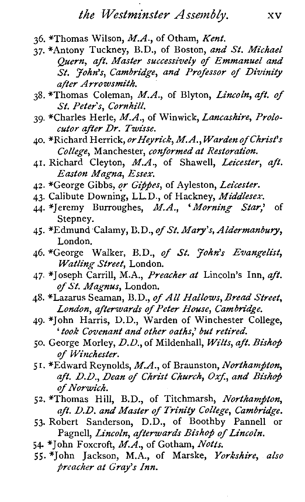- 36. *\*Thornas Wilson, M.A., of Otham, Kent.*
- 37. *\*Antony Tuckney, B.D., of Boston, and St. Michael Quern, aft. Master successively of Emmanuel and St. John's, Cambridge, and Professor of Divinity after A rro wsmith.*
- 38. *\*Thornas Coleman, M.A., of Blyton, Lincoln, aft. of St. Peter's, Cornhill.*
- 39. *\*Charles Herle, M.A., of Winwick, Lancashire, Prolocutor after Dr. Twisse.*
- 40. *\*Richard Herrick, orHeyrick, MA., Warden of Chn'st's College, Manchester, conformed at Restoration.*
- **41.** *Richard Cleyton, M.A., of Shawell, Leicester, aft. Easton Magna, Essex.*
- 42. \*George Gibbs, or Gippes, of Ayleston, Leicester.
- 43. *Calibute Downing, LL.D., of Hackney, Middlesex.*
- 44. *\*!eremy Burroughes, M.A., 'Morning* **Star,'** *of Stepney.*
- 45. *\*Edmund Calamy,* D.D., *of* 'St. *Mary's, Aldermanbury, London.*
- 46. *\*George Walker, B.D., of* **St.** *John's Evangelist, Watling Street, London.*
- 47. *\*Joseph Carrill, M.A., Preacher at Lincoln's Inn, aft.*  of St. Magnus, London.
- 48. *\*Lazarus Seaman, B.D., of All Hallows, Bread Street, London, afterwards of Peter House, Cambridge.*
- 49. *\*John Harris, D.D., Warden of Winchester College,*  ' *took Covenant and other oatks,' but retired.*
- 50. *George Morley, D.D., of Mildenhall, Wilts, aft. Bishop of Winchester.*
- 5 I. *\*Edward Reynolds, M.A., of Braunston, Northampton,*  aft. D.D., Dean of Christ Church, Oxf., and Bishop *of Norwich.*
- 52. *\*Thornas Hill, B.D., of Titchmarsh, Northamfton, aft. D.D. and Master of Trinity College, Cambn'dqe.*
- 53. *Robert Sanderson, D.D., of Boothby Pannell or Pagnell, Lincoln, afterwards Bishop of Lincoln,*
- 54- *^John Foxcroft, M.A., of Gotham, Notts.*
- 55. *\*John Jackson,* M.A., *of Marske, Yorkshire, also preacher at Gray's Inn.*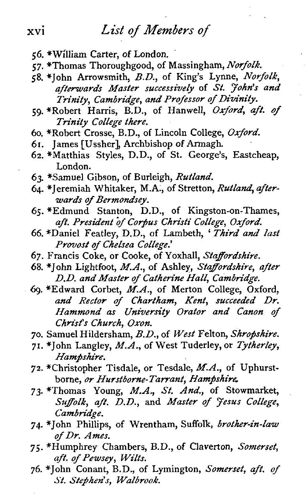# **xvi** *List* **of** *Members* of

- *56. \*William Carter, of London.*
- *57. \*Thornas Thoroughgood, of Massingham, Norfolk.*
- *58. \*John Arrowsmith, B.D., of King's Lynne, Norfolk, afferwards Master successively of St. JoMs and*  **Trinity,** *Cambridge, and Professor of Divinity.*
- *59. \*Robert Harris, B.D., of Hanwell, Oxford, aft. of Trinity College there.*
- *60. \*Robert Crosse, B.D., of Lincoln College, Oxford.*
- *61. James [Ussher], Archbishop of Armagh.*
- *62. \*Matthias Styles, D.D., of St. George's, Eastcheap, London.*
- *63. \*Samuel Gibson, of Burleigh, Rutland.*
- *64. \*Jeremiah Whitaker, M.A., of Stretton, Rutland, afterwards of Bermondsey.*
- *65. \*Edmund Stanton, D.D., of Kingston-on-Thames, aft. President* of *Corjus Christi College, Oxford.*
- *66. \*Daniel Featley, D.D., of Lambeth,* ' *Third and last Provost of Chelsea College.'*
- *67. Francis Coke, or Cooke, of Yoxhall, Staffordshire.*
- *68. \*John Lightfoot, M.A., of Ashley, Staffordshire, after D.D. and Master of Catherine Hall, Cambridge.*
- *6g. \*Edward Corbet, M.A., of Merton College, Oxford, and Rector* **of** *Chartham, Kent, succeeded Dr. Hammond as University Orator and Canon of Christ's Church, Oxon.*
- *70. Samuel Hildersham,* **B.D.,** *of West Felton, Shropshire.*
- 71. \*John Langley, M.A., of West Tuderley, or Tytherley,  $H$ ampshire.
- *72. \*Christopher Tisdale, or Tesdale, M.A., of Uphurstborne, or Hurstbome-Tarrant, Hampshire.*
- *73. \*Thornas Young, M.A., St. And., of Stowmarket, Sujfolk, aft. DD., and Master of Jesus College, Cambria'ge.*
- **74.** *\*John Phillips, of Wrentham, Suffolk, brother-in-law of Dr. Ames.*
- *75. SHumphrey Chambers, B.D., of Claverton, Somerset, aft. of Pewsey, Wilts.*
- *76. \*John Conant, B.D., of Lymington, Somerset, aft. of*   $St.$  Stephen's, Walbrook.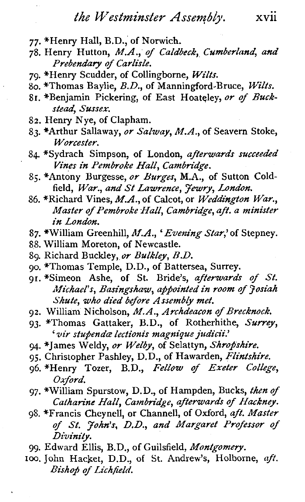- **77.** *\*Henry Hall, B.D., of Norwich.*
- **78.** *Henry Hutton, M.A., of Caldbeck, Cumberland, and Prebendary of Carlisle.*
- **79.** *\*Henry Scudder, of Collingborne, Wilts.*
- *80. \*Thomas Baylie, B.D., of Manningford-Bruce, Wilts.*
- 81. \*Benjamin Pickering, of East Hoateley, or of Buck*stead, Sussex.*
- **82.** *Henry Nye, of Clapham.*
- **83.** *\*Arthur Sallaway, or Salway, M.A., of Seavern Stoke, Worcester.*
- **84.** *\*Sydrach Simpson, of London, afterwards succeeded Vines in Pembroke Hall, Cambridge.*
- *8s. \*Antony Burgesse, or Burges, M.A., of Sutton Coldfield, War., and* **St** *Lawrence, Jewry, London.*
- **86.** *\*Richard Vines, M.A., of Calcot, or Weddington War., Master of Pembroke Hall, Cambridge, aft. a minister in London.*
- **87.** *\*William Greenhill, M.A., 'Evening Star,' of Stepney.*
- **88.** *William Moreton, of Newcastle.*
- **89.** *Richard Buckley,* **or** *Bulkley, B.D.*
- **go.** *\*Thomas Temple, D.D., of Battersea, Surrey.*
- **91.** *\*Simeon Ashe, of St. Bride's, afterwards of St. MichaeFs, Basingshuw, appointed in room of Josiah Shute, who died before Assembly met.*
- **92.** *William Nicholson, M.A., Archdeacon of Brecknock.*
- **93.** *\*Thornas Gattaker, B.D., of Rotherhithe, Surrey,*  ' *vir stu@da lectionis magnique judicii!*
- 94. \*James Weldy, or Welby, of Selattyn, Shropshire.
- 95. Christopher Pashley, D.D., of Hawarden, Flintshire.
- **96.** *\*Henry Tozer, B.D., Fellow of Exeter College, Oxford.*
- *97. \*William Spurstow, D.D., of Hampden, Bucks, then of Cathanne Hall, Cambridge, afterwards of Hackney,*
- 8. *\*Francis Cheynell, or Channell, of Oxford, aft. Master of St. John's, D.D., and Margaret Professor of Divinity.*
- **99.** *Edward Ellis, B.D., of Guilsfield, Montgomery.*
- loo. *John Hacket, D.D., of St. Andrew's, Holborne, aft. Bishop of Lichfield.*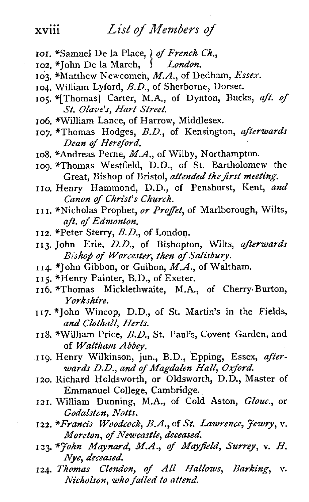### List of Members of

- 101. \*Samuel De la Place, *of French Ch.*,
- *I \*John De la March,* 1 *London.*
- *103. \*Matthew Newcomen, M.A., of Dedham, Essex.*
- *104. William Lyford, B.D., of Sherborne, Dorset.*
- *105. \*[Thornas] Carter, M.A., of Dynton, Bucks, aft. of St. Olave's, Hart Street.*
- *106. \*William Lance, of Harrow, Middlesex.*
- *107, \*Thornas Hodges, B.D., of Kensington, afterwards Dean of Hereford.*
- *108. \*Andreas Perne, M.A., of Wilby, Northampton.*
- *109. \*Thornas Westfield, D.D., of St. Bartholomew the*  Great, Bishop of Bristol, attended the first meeting.
- *110. Henry Hammond, D.D., of Penshurst, Kent, and Canon of Christ's Church.*
- *I I I. \*Nicholas Prophet, or Projfet, of Marlborough, Wilts, aft. of Edmonton.*
- *I 12. \*Peter Sterry, B.D., of London.*
- *113. John Erie, D.D., of Bishopton, Wilts, afterwards Bishop of Worcester, then of Salisbury.*
- *I 14. \*John Gibbon, or Guibon, M.A., of Waltham.*
- *I 15. \*Henry Painter, B.D., of Exeter.*
- *I 16. \*Thornas Micklethwaite, M.A., of Cherry. Burton, Yorkshire.*
- *117.\*John Wincop, D.D., of St. Martin's in the Fields, and Clothall, Herts.*
- *118. \*William Price, B.D., St. Paul's, Covent Garden, and of Waltham Abbey.*
- *119. Henry Wilkinson, jun., B.D., Epping, Essex, afterwards D.D., and of Magdalen Hall, Oxford.*
- *120. Richard Holdsworth, or Oldsworth, D.D., Master of Emmanuel College, Cambridge.*
- *121. William Dunning, M.A., of Cold Aston, Glouc., or Godalston, Notts.*
- *I 22. \*Francis Woodcock, B.A., of St. Lawrence, Jewry,* v. *Moreton, of Newcastle, deceased.*
- *123. \*John Maynard,* M.4 *of Mayfield, Surrey,* v. *H. Nye, deceased.*
- *124. Thomas Clendon, of All Hallows, Barking,* v. *Nicholson, who failed to attend.*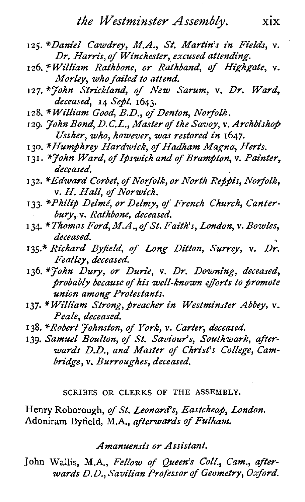- **125.** *\*Daniel Cawdrey, M.A., St. Martin's in Field, v. Dr. Harris, of Winchester, excused attena'ing.*
- **I 26.** *william Rathbone, or Rathband, of Highgate, v. Morley, who failed to attend.*
- 127. <sup>\*</sup>John Strickland, of New Sarum, v. Dr. Ward, *deceased,* **14** *Sept.* **1643.**
- **128.** *\*William Good, B.D., of Denton, Norfolk.*
- 129. *John Bond, D.C.L., Master of the Savoy, v. Archbishop Ussher, who, however, was restored in* **1647.**
- I **30.** *\*Humfhrey Hardwick, of Hadham Magna, Herts.*
- 131. <sup>\*</sup>*Hohn Ward, of Ipswich and of Brampton, v. Painter, deceased.*
- 132. *\*Edward Corbet, of Norfolk, or North Reppis, Norfolk, v. H. Hall, of Norwich.*
- 133. \*Philip Delmé, or Delmy, of French Church, Canter*bury, v. Rathbone, deceased.*
- **I 34.** \* *Thomas Ford, M.A* ., *of St. Faith's, London, v. Bowles, deceased.*
- **135.\*** *Richard Byfield, of Long Ditton, Surrey, v. Dr.*   $Featley, *deceased*.$
- **136.** *\*John Dury, or Durie, v. Dr. Downing, deceased, probably because of his well-known ejforts to fiomote union among Protestants.*
- 137. *\*William Strong, preacher in Westminster Abbey, v. Peale, deceased.*
- 138. *\*Robert Johnston, of York, v. Carter, deceased.*
- **139.** *Samuel Boulton, of St. Saviour's, Southwark, after*wards D.D., and Master of Christ's College, Cam*bridge, v. Burroughes, deceased.*

### **SCRIBES OR CLERKS OF THE ASSEMBLY.**

*Henry Roborough, of St. Leonard's, Eastcheaf, London.*  Adoniram Byfield, M.A., afterwards of Fulham.

*Amanuensis or Assistant.* 

*John* Wallis, *M.A., Fellow of Queen's Coll., Cam., afterwards* **D.%** *.'?avilian Professor of Geometry, Oxford.*